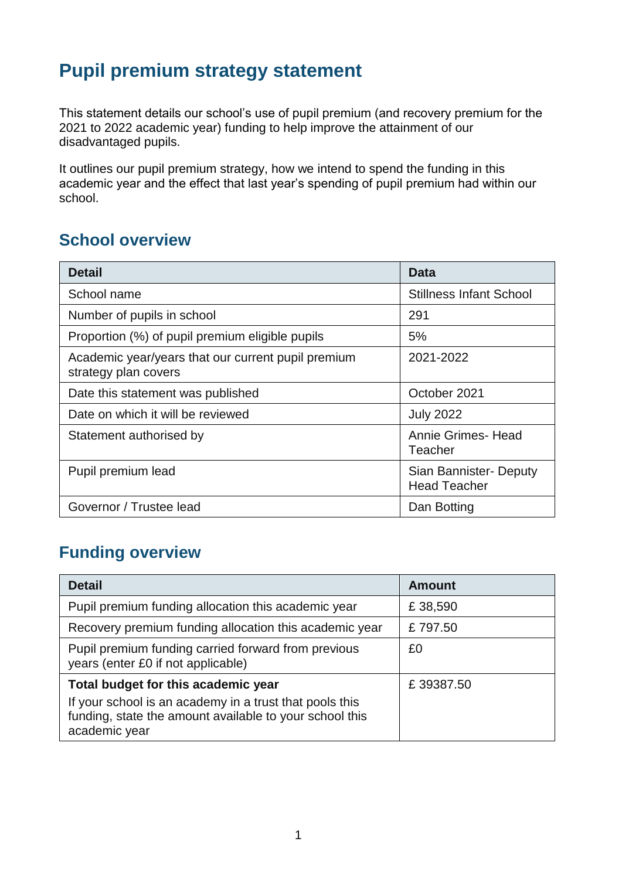# **Pupil premium strategy statement**

This statement details our school's use of pupil premium (and recovery premium for the 2021 to 2022 academic year) funding to help improve the attainment of our disadvantaged pupils.

It outlines our pupil premium strategy, how we intend to spend the funding in this academic year and the effect that last year's spending of pupil premium had within our school.

### **School overview**

| <b>Detail</b>                                                              | Data                                          |
|----------------------------------------------------------------------------|-----------------------------------------------|
| School name                                                                | <b>Stillness Infant School</b>                |
| Number of pupils in school                                                 | 291                                           |
| Proportion (%) of pupil premium eligible pupils                            | 5%                                            |
| Academic year/years that our current pupil premium<br>strategy plan covers | 2021-2022                                     |
| Date this statement was published                                          | October 2021                                  |
| Date on which it will be reviewed                                          | <b>July 2022</b>                              |
| Statement authorised by                                                    | Annie Grimes-Head<br>Teacher                  |
| Pupil premium lead                                                         | Sian Bannister- Deputy<br><b>Head Teacher</b> |
| Governor / Trustee lead                                                    | Dan Botting                                   |

# **Funding overview**

| <b>Detail</b>                                                                                                                       | <b>Amount</b> |
|-------------------------------------------------------------------------------------------------------------------------------------|---------------|
| Pupil premium funding allocation this academic year                                                                                 | £38,590       |
| Recovery premium funding allocation this academic year                                                                              | £797.50       |
| Pupil premium funding carried forward from previous<br>years (enter £0 if not applicable)                                           | £0            |
| Total budget for this academic year                                                                                                 | £39387.50     |
| If your school is an academy in a trust that pools this<br>funding, state the amount available to your school this<br>academic year |               |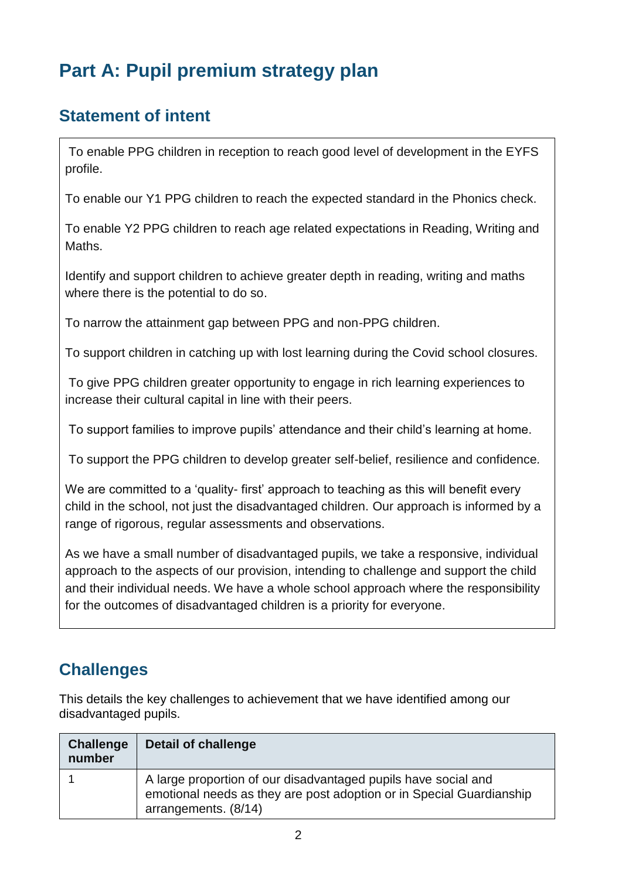# **Part A: Pupil premium strategy plan**

# **Statement of intent**

To enable PPG children in reception to reach good level of development in the EYFS profile.

To enable our Y1 PPG children to reach the expected standard in the Phonics check.

To enable Y2 PPG children to reach age related expectations in Reading, Writing and Maths.

Identify and support children to achieve greater depth in reading, writing and maths where there is the potential to do so.

To narrow the attainment gap between PPG and non-PPG children.

To support children in catching up with lost learning during the Covid school closures.

To give PPG children greater opportunity to engage in rich learning experiences to increase their cultural capital in line with their peers.

To support families to improve pupils' attendance and their child's learning at home.

To support the PPG children to develop greater self-belief, resilience and confidence*.*

We are committed to a 'quality- first' approach to teaching as this will benefit every child in the school, not just the disadvantaged children. Our approach is informed by a range of rigorous, regular assessments and observations.

As we have a small number of disadvantaged pupils, we take a responsive, individual approach to the aspects of our provision, intending to challenge and support the child and their individual needs. We have a whole school approach where the responsibility for the outcomes of disadvantaged children is a priority for everyone.

# **Challenges**

This details the key challenges to achievement that we have identified among our disadvantaged pupils.

| <b>Challenge</b><br>number | <b>Detail of challenge</b>                                                                                                                                     |
|----------------------------|----------------------------------------------------------------------------------------------------------------------------------------------------------------|
|                            | A large proportion of our disadvantaged pupils have social and<br>emotional needs as they are post adoption or in Special Guardianship<br>arrangements. (8/14) |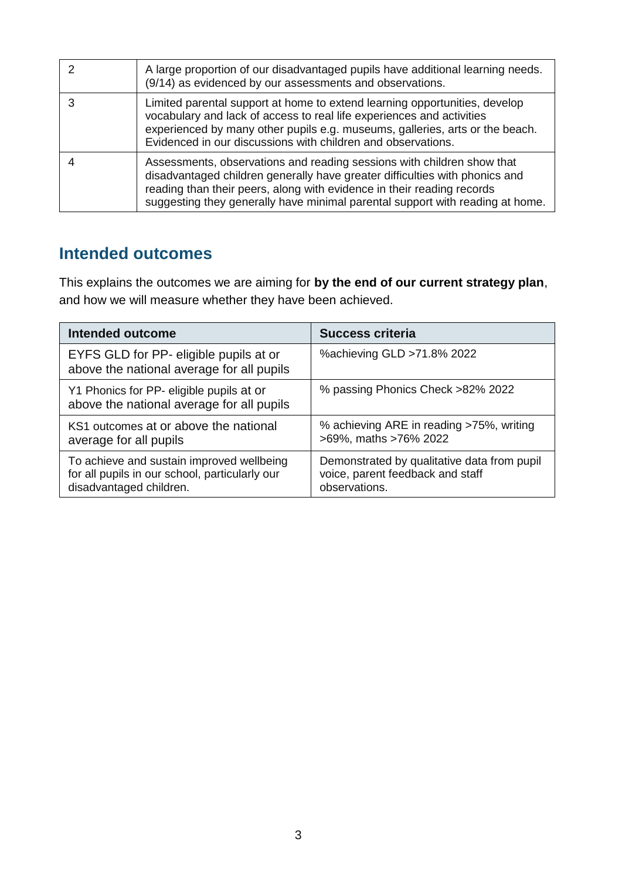| A large proportion of our disadvantaged pupils have additional learning needs.<br>(9/14) as evidenced by our assessments and observations.                                                                                                                                                                       |
|------------------------------------------------------------------------------------------------------------------------------------------------------------------------------------------------------------------------------------------------------------------------------------------------------------------|
| Limited parental support at home to extend learning opportunities, develop<br>vocabulary and lack of access to real life experiences and activities<br>experienced by many other pupils e.g. museums, galleries, arts or the beach.<br>Evidenced in our discussions with children and observations.              |
| Assessments, observations and reading sessions with children show that<br>disadvantaged children generally have greater difficulties with phonics and<br>reading than their peers, along with evidence in their reading records<br>suggesting they generally have minimal parental support with reading at home. |

# **Intended outcomes**

This explains the outcomes we are aiming for **by the end of our current strategy plan**, and how we will measure whether they have been achieved.

| <b>Intended outcome</b>                                                                                                | <b>Success criteria</b>                                                                          |
|------------------------------------------------------------------------------------------------------------------------|--------------------------------------------------------------------------------------------------|
| EYFS GLD for PP- eligible pupils at or<br>above the national average for all pupils                                    | % achieving GLD > 71.8% 2022                                                                     |
| Y1 Phonics for PP- eligible pupils at or<br>above the national average for all pupils                                  | % passing Phonics Check >82% 2022                                                                |
| KS1 outcomes at or above the national<br>average for all pupils                                                        | % achieving ARE in reading >75%, writing<br>>69%, maths >76% 2022                                |
| To achieve and sustain improved wellbeing<br>for all pupils in our school, particularly our<br>disadvantaged children. | Demonstrated by qualitative data from pupil<br>voice, parent feedback and staff<br>observations. |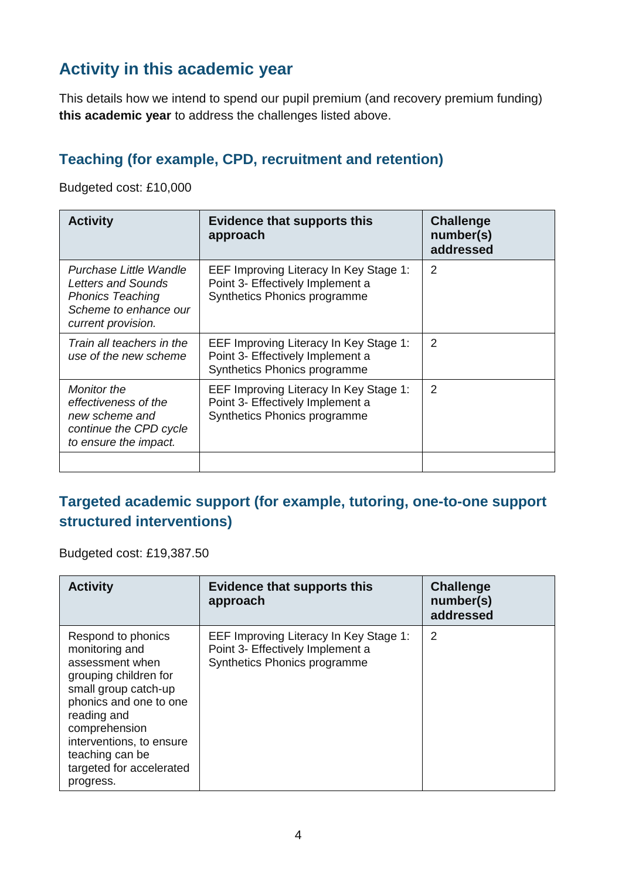# **Activity in this academic year**

This details how we intend to spend our pupil premium (and recovery premium funding) **this academic year** to address the challenges listed above.

#### **Teaching (for example, CPD, recruitment and retention)**

Budgeted cost: £10,000

| <b>Activity</b>                                                                                                        | <b>Evidence that supports this</b><br>approach                                                             | <b>Challenge</b><br>number(s)<br>addressed |
|------------------------------------------------------------------------------------------------------------------------|------------------------------------------------------------------------------------------------------------|--------------------------------------------|
| Purchase Little Wandle<br>Letters and Sounds<br><b>Phonics Teaching</b><br>Scheme to enhance our<br>current provision. | EEF Improving Literacy In Key Stage 1:<br>Point 3- Effectively Implement a<br>Synthetics Phonics programme | 2                                          |
| Train all teachers in the<br>use of the new scheme                                                                     | EEF Improving Literacy In Key Stage 1:<br>Point 3- Effectively Implement a<br>Synthetics Phonics programme | 2                                          |
| <b>Monitor the</b><br>effectiveness of the<br>new scheme and<br>continue the CPD cycle<br>to ensure the impact.        | EEF Improving Literacy In Key Stage 1:<br>Point 3- Effectively Implement a<br>Synthetics Phonics programme | 2                                          |
|                                                                                                                        |                                                                                                            |                                            |

#### **Targeted academic support (for example, tutoring, one-to-one support structured interventions)**

Budgeted cost: £19,387.50

| <b>Activity</b>                                                                                                                                                                                                                                            | <b>Evidence that supports this</b><br>approach                                                             | <b>Challenge</b><br>number(s)<br>addressed |
|------------------------------------------------------------------------------------------------------------------------------------------------------------------------------------------------------------------------------------------------------------|------------------------------------------------------------------------------------------------------------|--------------------------------------------|
| Respond to phonics<br>monitoring and<br>assessment when<br>grouping children for<br>small group catch-up<br>phonics and one to one<br>reading and<br>comprehension<br>interventions, to ensure<br>teaching can be<br>targeted for accelerated<br>progress. | EEF Improving Literacy In Key Stage 1:<br>Point 3- Effectively Implement a<br>Synthetics Phonics programme | 2                                          |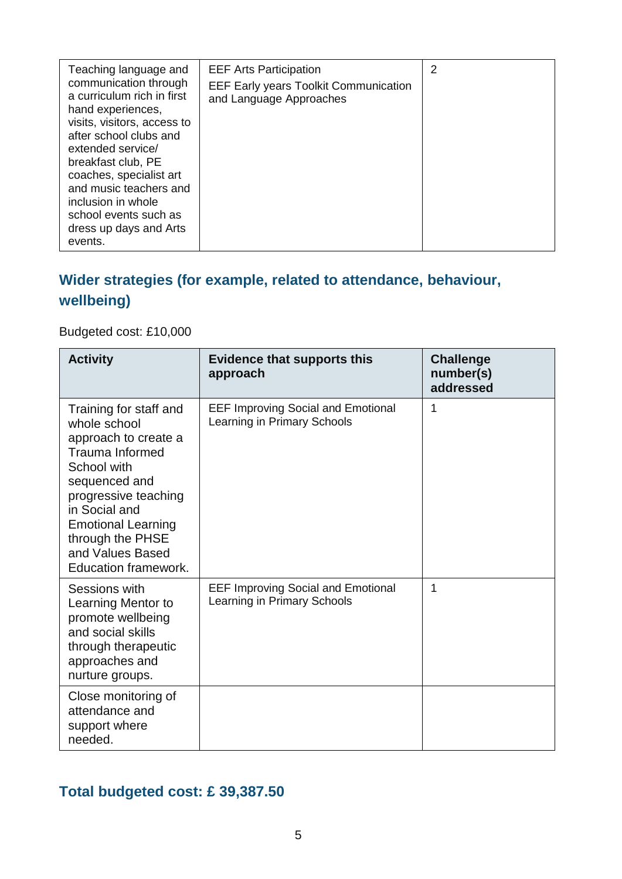| Teaching language and<br>communication through<br>a curriculum rich in first                    | <b>EEF Arts Participation</b><br><b>EEF Early years Toolkit Communication</b><br>and Language Approaches | $\overline{2}$ |
|-------------------------------------------------------------------------------------------------|----------------------------------------------------------------------------------------------------------|----------------|
| hand experiences,<br>visits, visitors, access to<br>after school clubs and<br>extended service/ |                                                                                                          |                |
| breakfast club, PE<br>coaches, specialist art<br>and music teachers and                         |                                                                                                          |                |
| inclusion in whole<br>school events such as<br>dress up days and Arts<br>events.                |                                                                                                          |                |

### **Wider strategies (for example, related to attendance, behaviour, wellbeing)**

#### Budgeted cost: £10,000

| <b>Activity</b>                                                                                                                                                                                                                                                | <b>Evidence that supports this</b><br>approach                           | <b>Challenge</b><br>number(s)<br>addressed |
|----------------------------------------------------------------------------------------------------------------------------------------------------------------------------------------------------------------------------------------------------------------|--------------------------------------------------------------------------|--------------------------------------------|
| Training for staff and<br>whole school<br>approach to create a<br><b>Trauma Informed</b><br>School with<br>sequenced and<br>progressive teaching<br>in Social and<br><b>Emotional Learning</b><br>through the PHSE<br>and Values Based<br>Education framework. | <b>EEF Improving Social and Emotional</b><br>Learning in Primary Schools | 1                                          |
| Sessions with<br>Learning Mentor to<br>promote wellbeing<br>and social skills<br>through therapeutic<br>approaches and<br>nurture groups.                                                                                                                      | <b>EEF Improving Social and Emotional</b><br>Learning in Primary Schools | 1                                          |
| Close monitoring of<br>attendance and<br>support where<br>needed.                                                                                                                                                                                              |                                                                          |                                            |

# **Total budgeted cost: £ 39,387.50**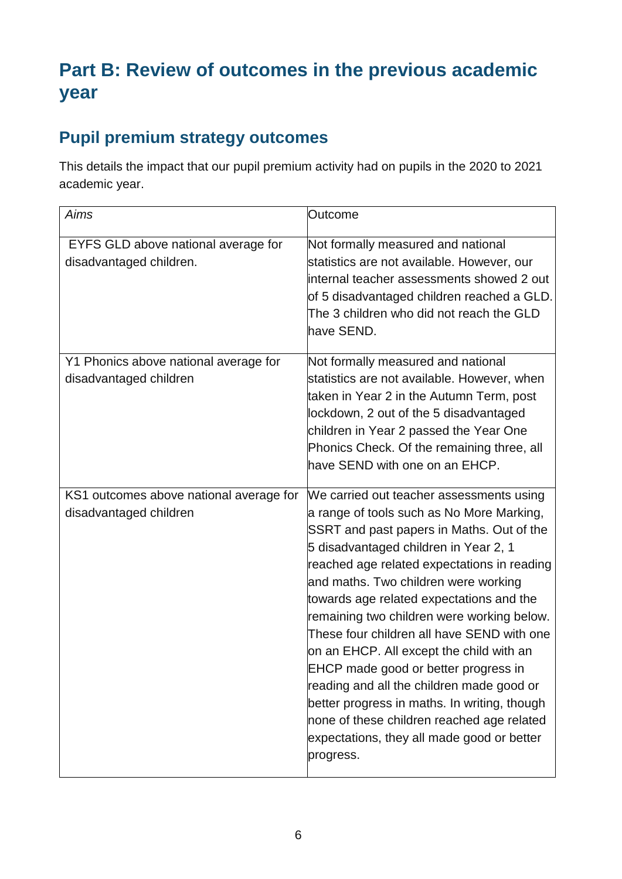# **Part B: Review of outcomes in the previous academic year**

# **Pupil premium strategy outcomes**

This details the impact that our pupil premium activity had on pupils in the 2020 to 2021 academic year.

| Aims                                                              | Outcome                                                                                                                                                                                                                                                                                                                                                                                                                                                                                                                                                                                                                                                                                              |
|-------------------------------------------------------------------|------------------------------------------------------------------------------------------------------------------------------------------------------------------------------------------------------------------------------------------------------------------------------------------------------------------------------------------------------------------------------------------------------------------------------------------------------------------------------------------------------------------------------------------------------------------------------------------------------------------------------------------------------------------------------------------------------|
| EYFS GLD above national average for<br>disadvantaged children.    | Not formally measured and national<br>statistics are not available. However, our<br>internal teacher assessments showed 2 out<br>of 5 disadvantaged children reached a GLD.<br>The 3 children who did not reach the GLD<br>have SEND.                                                                                                                                                                                                                                                                                                                                                                                                                                                                |
| Y1 Phonics above national average for<br>disadvantaged children   | Not formally measured and national<br>statistics are not available. However, when<br>taken in Year 2 in the Autumn Term, post<br>lockdown, 2 out of the 5 disadvantaged<br>children in Year 2 passed the Year One<br>Phonics Check. Of the remaining three, all<br>have SEND with one on an EHCP.                                                                                                                                                                                                                                                                                                                                                                                                    |
| KS1 outcomes above national average for<br>disadvantaged children | We carried out teacher assessments using<br>a range of tools such as No More Marking,<br>SSRT and past papers in Maths. Out of the<br>5 disadvantaged children in Year 2, 1<br>reached age related expectations in reading<br>and maths. Two children were working<br>towards age related expectations and the<br>remaining two children were working below.<br>These four children all have SEND with one<br>on an EHCP. All except the child with an<br>EHCP made good or better progress in<br>reading and all the children made good or<br>better progress in maths. In writing, though<br>none of these children reached age related<br>expectations, they all made good or better<br>progress. |